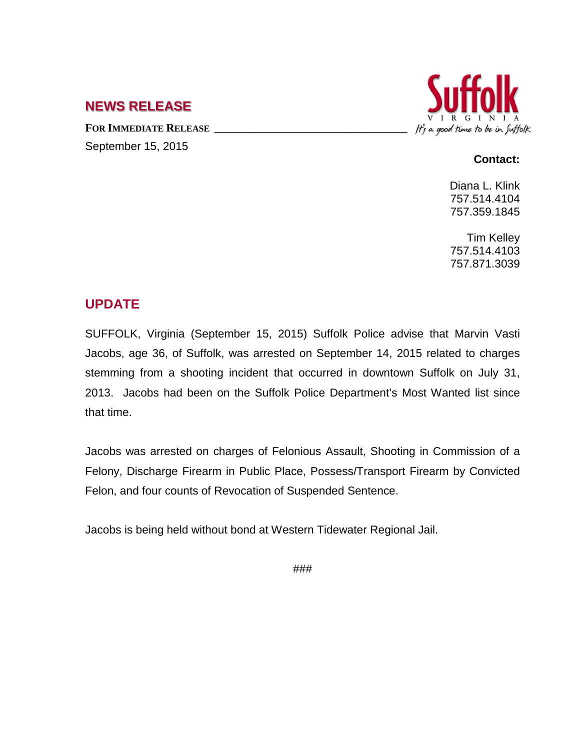# **NEWS RELEASE**

FOR IMMEDIATE RELEASE September 15, 2015



#### **Contact:**

Diana L. Klink 757.514.4104 757.359.1845

Tim Kelley 757.514.4103 757.871.3039

## **UPDATE**

SUFFOLK, Virginia (September 15, 2015) Suffolk Police advise that Marvin Vasti Jacobs, age 36, of Suffolk, was arrested on September 14, 2015 related to charges stemming from a shooting incident that occurred in downtown Suffolk on July 31, 2013. Jacobs had been on the Suffolk Police Department's Most Wanted list since that time.

Jacobs was arrested on charges of Felonious Assault, Shooting in Commission of a Felony, Discharge Firearm in Public Place, Possess/Transport Firearm by Convicted Felon, and four counts of Revocation of Suspended Sentence.

Jacobs is being held without bond at Western Tidewater Regional Jail.

###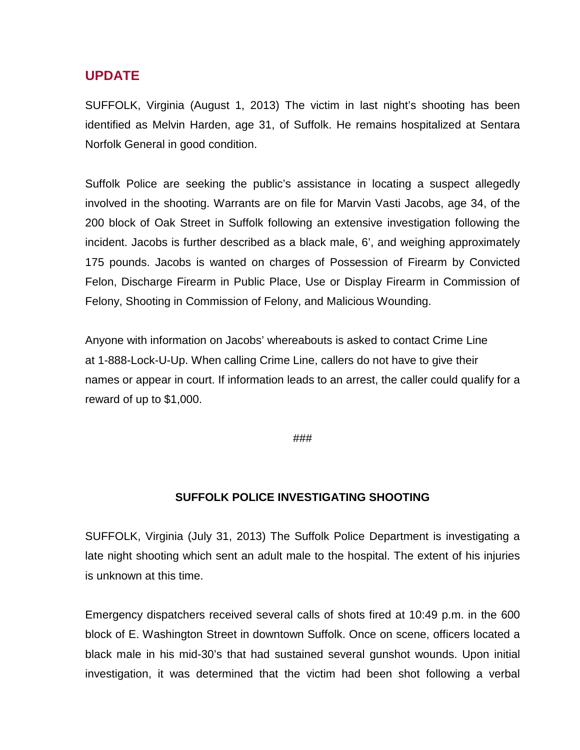### **UPDATE**

SUFFOLK, Virginia (August 1, 2013) The victim in last night's shooting has been identified as Melvin Harden, age 31, of Suffolk. He remains hospitalized at Sentara Norfolk General in good condition.

Suffolk Police are seeking the public's assistance in locating a suspect allegedly involved in the shooting. Warrants are on file for Marvin Vasti Jacobs, age 34, of the 200 block of Oak Street in Suffolk following an extensive investigation following the incident. Jacobs is further described as a black male, 6', and weighing approximately 175 pounds. Jacobs is wanted on charges of Possession of Firearm by Convicted Felon, Discharge Firearm in Public Place, Use or Display Firearm in Commission of Felony, Shooting in Commission of Felony, and Malicious Wounding.

Anyone with information on Jacobs' whereabouts is asked to contact Crime Line at 1-888-Lock-U-Up. When calling Crime Line, callers do not have to give their names or appear in court. If information leads to an arrest, the caller could qualify for a reward of up to \$1,000.

###

#### **SUFFOLK POLICE INVESTIGATING SHOOTING**

SUFFOLK, Virginia (July 31, 2013) The Suffolk Police Department is investigating a late night shooting which sent an adult male to the hospital. The extent of his injuries is unknown at this time.

Emergency dispatchers received several calls of shots fired at 10:49 p.m. in the 600 block of E. Washington Street in downtown Suffolk. Once on scene, officers located a black male in his mid-30's that had sustained several gunshot wounds. Upon initial investigation, it was determined that the victim had been shot following a verbal